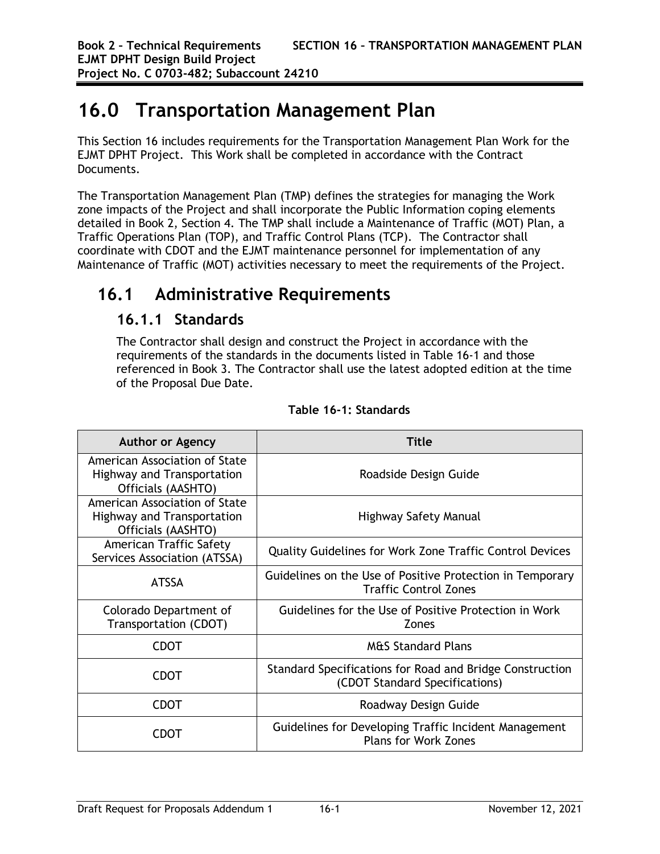# **16.0 Transportation Management Plan**

This Section 16 includes requirements for the Transportation Management Plan Work for the EJMT DPHT Project. This Work shall be completed in accordance with the Contract Documents.

The Transportation Management Plan (TMP) defines the strategies for managing the Work zone impacts of the Project and shall incorporate the Public Information coping elements detailed in Book 2, Section 4. The TMP shall include a Maintenance of Traffic (MOT) Plan, a Traffic Operations Plan (TOP), and Traffic Control Plans (TCP). The Contractor shall coordinate with CDOT and the EJMT maintenance personnel for implementation of any Maintenance of Traffic (MOT) activities necessary to meet the requirements of the Project.

# **16.1 Administrative Requirements**

#### **16.1.1 Standards**

The Contractor shall design and construct the Project in accordance with the requirements of the standards in the documents listed in Table 16-1 and those referenced in Book 3. The Contractor shall use the latest adopted edition at the time of the Proposal Due Date.

| <b>Author or Agency</b>                                                                  | Title                                                                                      |  |
|------------------------------------------------------------------------------------------|--------------------------------------------------------------------------------------------|--|
| American Association of State<br><b>Highway and Transportation</b><br>Officials (AASHTO) | Roadside Design Guide                                                                      |  |
| American Association of State<br><b>Highway and Transportation</b><br>Officials (AASHTO) | Highway Safety Manual                                                                      |  |
| American Traffic Safety<br>Services Association (ATSSA)                                  | <b>Quality Guidelines for Work Zone Traffic Control Devices</b>                            |  |
| <b>ATSSA</b>                                                                             | Guidelines on the Use of Positive Protection in Temporary<br><b>Traffic Control Zones</b>  |  |
| Colorado Department of<br>Transportation (CDOT)                                          | Guidelines for the Use of Positive Protection in Work<br>Zones                             |  |
| <b>CDOT</b>                                                                              | <b>M&amp;S Standard Plans</b>                                                              |  |
| CDOT                                                                                     | Standard Specifications for Road and Bridge Construction<br>(CDOT Standard Specifications) |  |
| CDOT                                                                                     | Roadway Design Guide                                                                       |  |
| CDOT                                                                                     | Guidelines for Developing Traffic Incident Management<br><b>Plans for Work Zones</b>       |  |

#### **Table 16-1: Standards**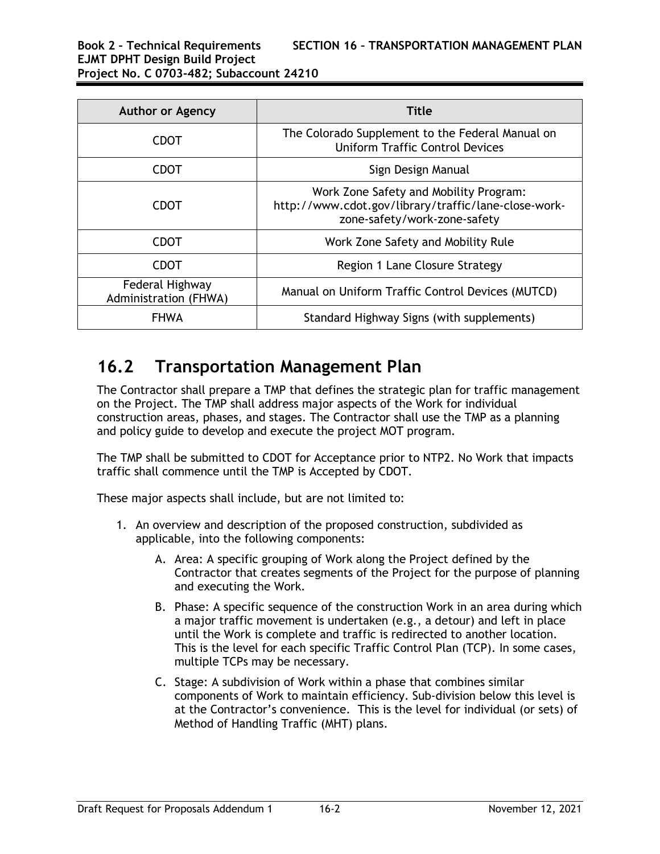| <b>Author or Agency</b>                  | Title                                                                                                                          |  |
|------------------------------------------|--------------------------------------------------------------------------------------------------------------------------------|--|
| CDOT                                     | The Colorado Supplement to the Federal Manual on<br><b>Uniform Traffic Control Devices</b>                                     |  |
| <b>CDOT</b>                              | Sign Design Manual                                                                                                             |  |
| CDOT                                     | Work Zone Safety and Mobility Program:<br>http://www.cdot.gov/library/traffic/lane-close-work-<br>zone-safety/work-zone-safety |  |
| <b>CDOT</b>                              | Work Zone Safety and Mobility Rule                                                                                             |  |
| CDOT                                     | Region 1 Lane Closure Strategy                                                                                                 |  |
| Federal Highway<br>Administration (FHWA) | Manual on Uniform Traffic Control Devices (MUTCD)                                                                              |  |
| <b>FHWA</b>                              | Standard Highway Signs (with supplements)                                                                                      |  |

## **16.2 Transportation Management Plan**

The Contractor shall prepare a TMP that defines the strategic plan for traffic management on the Project. The TMP shall address major aspects of the Work for individual construction areas, phases, and stages. The Contractor shall use the TMP as a planning and policy guide to develop and execute the project MOT program.

The TMP shall be submitted to CDOT for Acceptance prior to NTP2. No Work that impacts traffic shall commence until the TMP is Accepted by CDOT.

These major aspects shall include, but are not limited to:

- 1. An overview and description of the proposed construction, subdivided as applicable, into the following components:
	- A. Area: A specific grouping of Work along the Project defined by the Contractor that creates segments of the Project for the purpose of planning and executing the Work.
	- B. Phase: A specific sequence of the construction Work in an area during which a major traffic movement is undertaken (e.g., a detour) and left in place until the Work is complete and traffic is redirected to another location. This is the level for each specific Traffic Control Plan (TCP). In some cases, multiple TCPs may be necessary.
	- C. Stage: A subdivision of Work within a phase that combines similar components of Work to maintain efficiency. Sub-division below this level is at the Contractor's convenience. This is the level for individual (or sets) of Method of Handling Traffic (MHT) plans.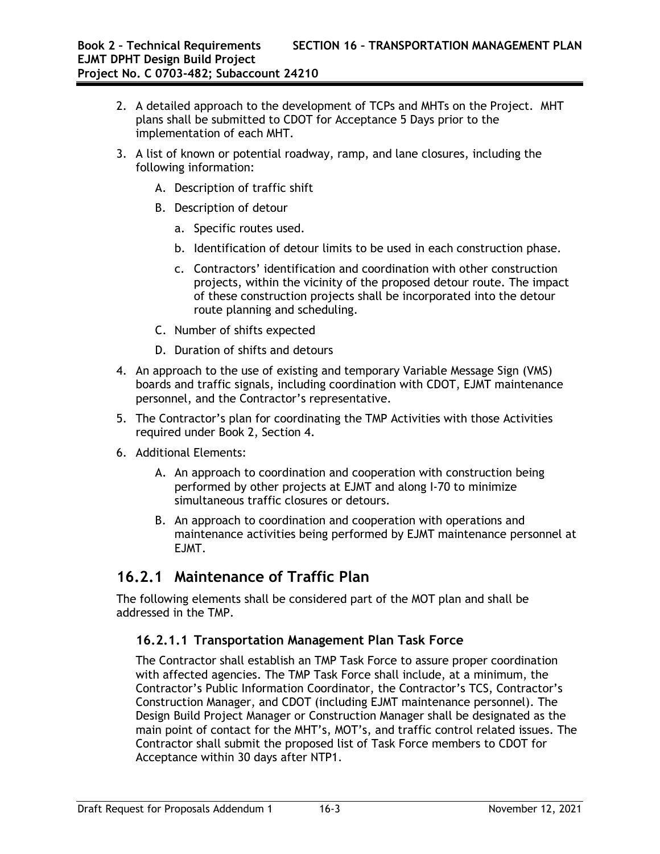- 2. A detailed approach to the development of TCPs and MHTs on the Project. MHT plans shall be submitted to CDOT for Acceptance 5 Days prior to the implementation of each MHT.
- 3. A list of known or potential roadway, ramp, and lane closures, including the following information:
	- A. Description of traffic shift
	- B. Description of detour
		- a. Specific routes used.
		- b. Identification of detour limits to be used in each construction phase.
		- c. Contractors' identification and coordination with other construction projects, within the vicinity of the proposed detour route. The impact of these construction projects shall be incorporated into the detour route planning and scheduling.
	- C. Number of shifts expected
	- D. Duration of shifts and detours
- 4. An approach to the use of existing and temporary Variable Message Sign (VMS) boards and traffic signals, including coordination with CDOT, EJMT maintenance personnel, and the Contractor's representative.
- 5. The Contractor's plan for coordinating the TMP Activities with those Activities required under Book 2, Section 4.
- 6. Additional Elements:
	- A. An approach to coordination and cooperation with construction being performed by other projects at EJMT and along I-70 to minimize simultaneous traffic closures or detours.
	- B. An approach to coordination and cooperation with operations and maintenance activities being performed by EJMT maintenance personnel at EJMT.

#### **16.2.1 Maintenance of Traffic Plan**

The following elements shall be considered part of the MOT plan and shall be addressed in the TMP.

#### **16.2.1.1 Transportation Management Plan Task Force**

The Contractor shall establish an TMP Task Force to assure proper coordination with affected agencies. The TMP Task Force shall include, at a minimum, the Contractor's Public Information Coordinator, the Contractor's TCS, Contractor's Construction Manager, and CDOT (including EJMT maintenance personnel). The Design Build Project Manager or Construction Manager shall be designated as the main point of contact for the MHT's, MOT's, and traffic control related issues. The Contractor shall submit the proposed list of Task Force members to CDOT for Acceptance within 30 days after NTP1.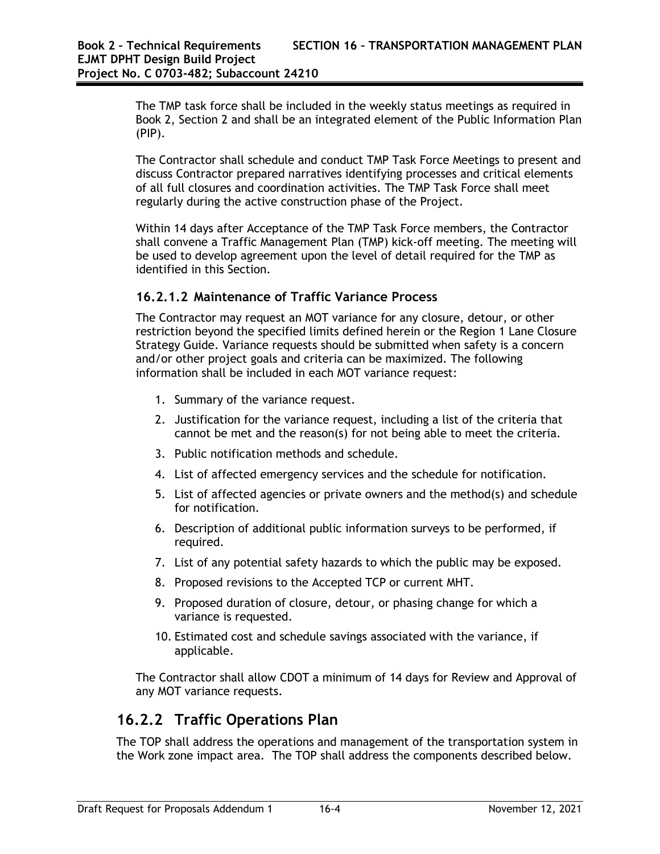The TMP task force shall be included in the weekly status meetings as required in Book 2, Section 2 and shall be an integrated element of the Public Information Plan (PIP).

The Contractor shall schedule and conduct TMP Task Force Meetings to present and discuss Contractor prepared narratives identifying processes and critical elements of all full closures and coordination activities. The TMP Task Force shall meet regularly during the active construction phase of the Project.

Within 14 days after Acceptance of the TMP Task Force members, the Contractor shall convene a Traffic Management Plan (TMP) kick-off meeting. The meeting will be used to develop agreement upon the level of detail required for the TMP as identified in this Section.

#### **16.2.1.2 Maintenance of Traffic Variance Process**

The Contractor may request an MOT variance for any closure, detour, or other restriction beyond the specified limits defined herein or the Region 1 Lane Closure Strategy Guide. Variance requests should be submitted when safety is a concern and/or other project goals and criteria can be maximized. The following information shall be included in each MOT variance request:

- 1. Summary of the variance request.
- 2. Justification for the variance request, including a list of the criteria that cannot be met and the reason(s) for not being able to meet the criteria.
- 3. Public notification methods and schedule.
- 4. List of affected emergency services and the schedule for notification.
- 5. List of affected agencies or private owners and the method(s) and schedule for notification.
- 6. Description of additional public information surveys to be performed, if required.
- 7. List of any potential safety hazards to which the public may be exposed.
- 8. Proposed revisions to the Accepted TCP or current MHT.
- 9. Proposed duration of closure, detour, or phasing change for which a variance is requested.
- 10. Estimated cost and schedule savings associated with the variance, if applicable.

The Contractor shall allow CDOT a minimum of 14 days for Review and Approval of any MOT variance requests.

#### **16.2.2 Traffic Operations Plan**

The TOP shall address the operations and management of the transportation system in the Work zone impact area. The TOP shall address the components described below.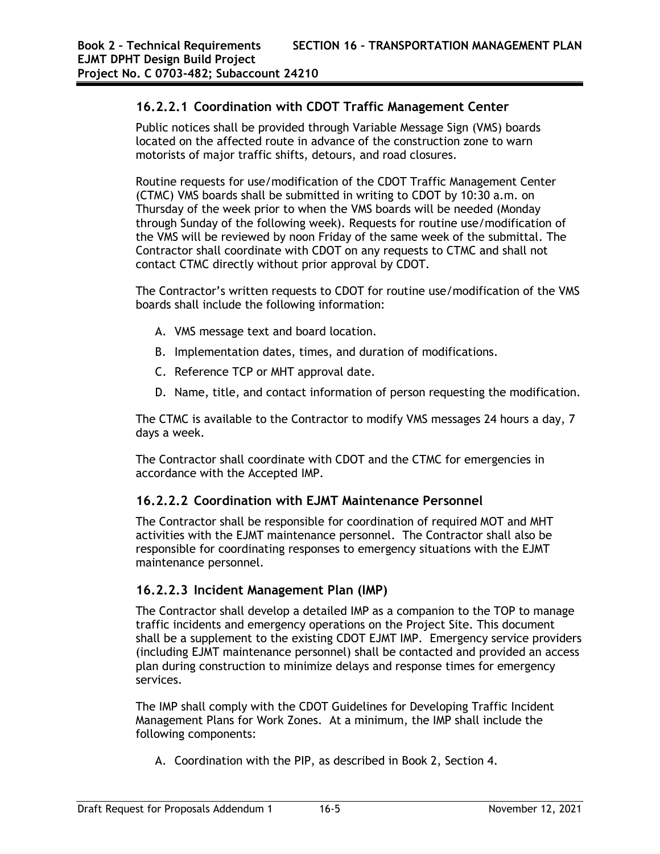#### **16.2.2.1 Coordination with CDOT Traffic Management Center**

Public notices shall be provided through Variable Message Sign (VMS) boards located on the affected route in advance of the construction zone to warn motorists of major traffic shifts, detours, and road closures.

Routine requests for use/modification of the CDOT Traffic Management Center (CTMC) VMS boards shall be submitted in writing to CDOT by 10:30 a.m. on Thursday of the week prior to when the VMS boards will be needed (Monday through Sunday of the following week). Requests for routine use/modification of the VMS will be reviewed by noon Friday of the same week of the submittal. The Contractor shall coordinate with CDOT on any requests to CTMC and shall not contact CTMC directly without prior approval by CDOT.

The Contractor's written requests to CDOT for routine use/modification of the VMS boards shall include the following information:

- A. VMS message text and board location.
- B. Implementation dates, times, and duration of modifications.
- C. Reference TCP or MHT approval date.
- D. Name, title, and contact information of person requesting the modification.

The CTMC is available to the Contractor to modify VMS messages 24 hours a day, 7 days a week.

The Contractor shall coordinate with CDOT and the CTMC for emergencies in accordance with the Accepted IMP.

#### **16.2.2.2 Coordination with EJMT Maintenance Personnel**

The Contractor shall be responsible for coordination of required MOT and MHT activities with the EJMT maintenance personnel. The Contractor shall also be responsible for coordinating responses to emergency situations with the EJMT maintenance personnel.

#### **16.2.2.3 Incident Management Plan (IMP)**

The Contractor shall develop a detailed IMP as a companion to the TOP to manage traffic incidents and emergency operations on the Project Site. This document shall be a supplement to the existing CDOT EJMT IMP. Emergency service providers (including EJMT maintenance personnel) shall be contacted and provided an access plan during construction to minimize delays and response times for emergency services.

The IMP shall comply with the CDOT Guidelines for Developing Traffic Incident Management Plans for Work Zones. At a minimum, the IMP shall include the following components:

A. Coordination with the PIP, as described in Book 2, Section 4.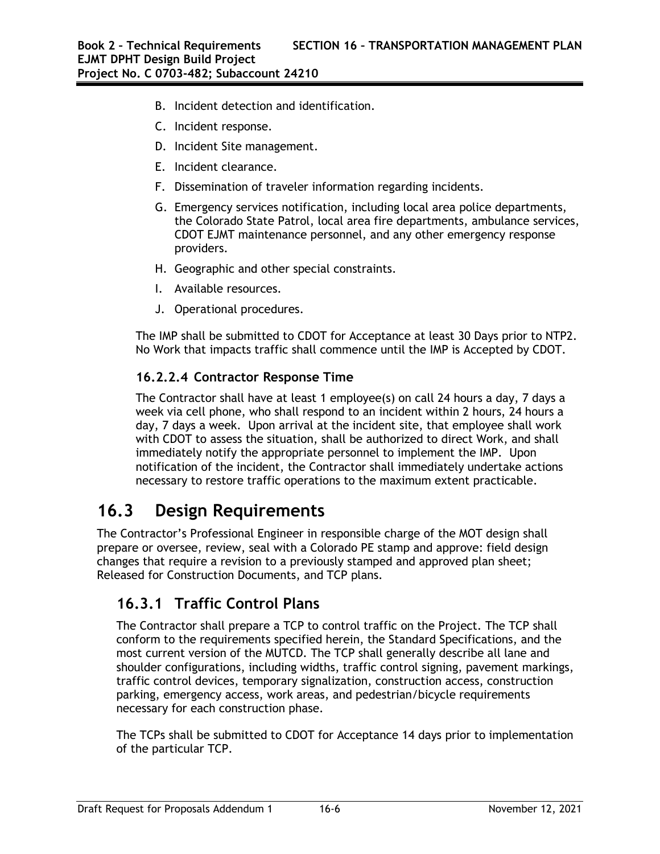- B. Incident detection and identification.
- C. Incident response.
- D. Incident Site management.
- E. Incident clearance.
- F. Dissemination of traveler information regarding incidents.
- G. Emergency services notification, including local area police departments, the Colorado State Patrol, local area fire departments, ambulance services, CDOT EJMT maintenance personnel, and any other emergency response providers.
- H. Geographic and other special constraints.
- I. Available resources.
- J. Operational procedures.

The IMP shall be submitted to CDOT for Acceptance at least 30 Days prior to NTP2. No Work that impacts traffic shall commence until the IMP is Accepted by CDOT.

#### **16.2.2.4 Contractor Response Time**

The Contractor shall have at least 1 employee(s) on call 24 hours a day, 7 days a week via cell phone, who shall respond to an incident within 2 hours, 24 hours a day, 7 days a week. Upon arrival at the incident site, that employee shall work with CDOT to assess the situation, shall be authorized to direct Work, and shall immediately notify the appropriate personnel to implement the IMP. Upon notification of the incident, the Contractor shall immediately undertake actions necessary to restore traffic operations to the maximum extent practicable.

# **16.3 Design Requirements**

The Contractor's Professional Engineer in responsible charge of the MOT design shall prepare or oversee, review, seal with a Colorado PE stamp and approve: field design changes that require a revision to a previously stamped and approved plan sheet; Released for Construction Documents, and TCP plans.

#### **16.3.1 Traffic Control Plans**

The Contractor shall prepare a TCP to control traffic on the Project. The TCP shall conform to the requirements specified herein, the Standard Specifications, and the most current version of the MUTCD. The TCP shall generally describe all lane and shoulder configurations, including widths, traffic control signing, pavement markings, traffic control devices, temporary signalization, construction access, construction parking, emergency access, work areas, and pedestrian/bicycle requirements necessary for each construction phase.

The TCPs shall be submitted to CDOT for Acceptance 14 days prior to implementation of the particular TCP.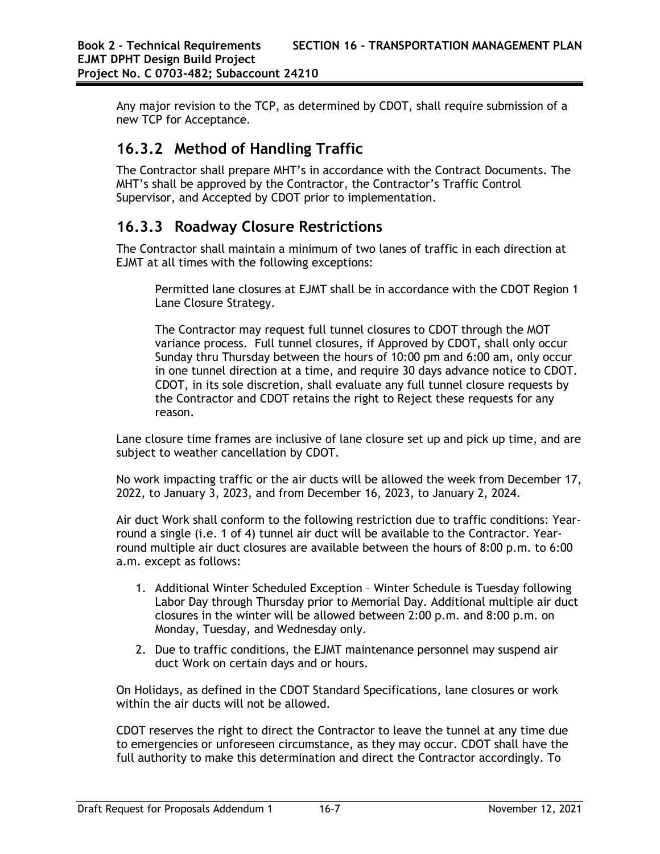Any major revision to the TCP, as determined by CDOT, shall require submission of a new TCP for Acceptance.

## **16.3.2 Method of Handling Traffic**

The Contractor shall prepare MHT's in accordance with the Contract Documents. The MHT's shall be approved by the Contractor, the Contractor's Traffic Control Supervisor, and Accepted by CDOT prior to implementation.

### **16.3.3 Roadway Closure Restrictions**

The Contractor shall maintain a minimum of two lanes of traffic in each direction at EJMT at all times with the following exceptions:

Permitted lane closures at EJMT shall be in accordance with the CDOT Region 1 Lane Closure Strategy.

The Contractor may request full tunnel closures to CDOT through the MOT variance process. Full tunnel closures, if Approved by CDOT, shall only occur Sunday thru Thursday between the hours of 10:00 pm and 6:00 am, only occur in one tunnel direction at a time, and require 30 days advance notice to CDOT. CDOT, in its sole discretion, shall evaluate any full tunnel closure requests by the Contractor and CDOT retains the right to Reject these requests for any reason.

Lane closure time frames are inclusive of lane closure set up and pick up time, and are subject to weather cancellation by CDOT.

No work impacting traffic or the air ducts will be allowed the week from December 17, 2022, to January 3, 2023, and from December 16, 2023, to January 2, 2024.

Air duct Work shall conform to the following restriction due to traffic conditions: Yearround a single (i.e. 1 of 4) tunnel air duct will be available to the Contractor. Yearround multiple air duct closures are available between the hours of 8:00 p.m. to 6:00 a.m. except as follows:

- 1. Additional Winter Scheduled Exception Winter Schedule is Tuesday following Labor Day through Thursday prior to Memorial Day. Additional multiple air duct closures in the winter will be allowed between 2:00 p.m. and 8:00 p.m. on Monday, Tuesday, and Wednesday only.
- 2. Due to traffic conditions, the EJMT maintenance personnel may suspend air duct Work on certain days and or hours.

On Holidays, as defined in the CDOT Standard Specifications, lane closures or work within the air ducts will not be allowed.

CDOT reserves the right to direct the Contractor to leave the tunnel at any time due to emergencies or unforeseen circumstance, as they may occur. CDOT shall have the full authority to make this determination and direct the Contractor accordingly. To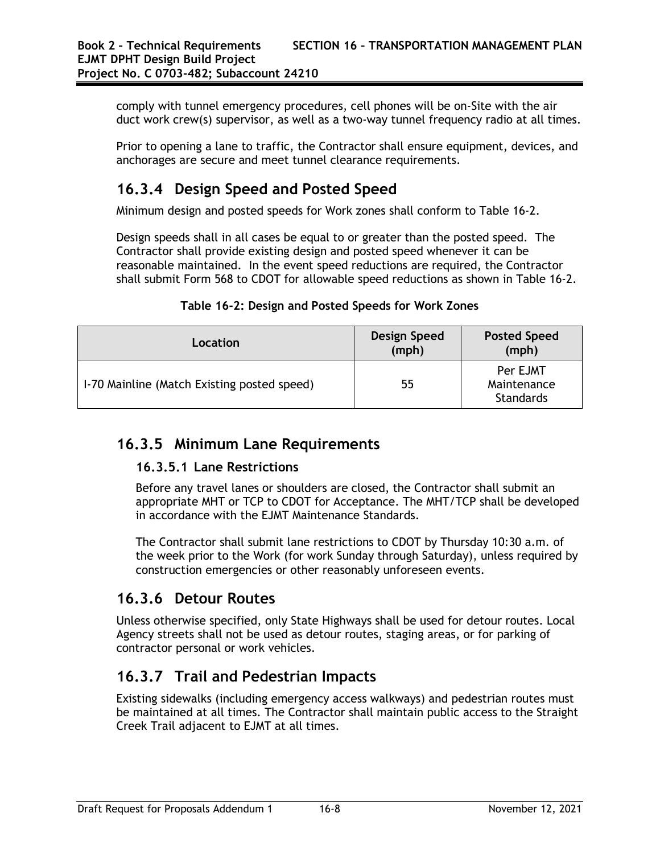comply with tunnel emergency procedures, cell phones will be on-Site with the air duct work crew(s) supervisor, as well as a two-way tunnel frequency radio at all times.

Prior to opening a lane to traffic, the Contractor shall ensure equipment, devices, and anchorages are secure and meet tunnel clearance requirements.

### **16.3.4 Design Speed and Posted Speed**

Minimum design and posted speeds for Work zones shall conform to Table 16-2.

Design speeds shall in all cases be equal to or greater than the posted speed. The Contractor shall provide existing design and posted speed whenever it can be reasonable maintained. In the event speed reductions are required, the Contractor shall submit Form 568 to CDOT for allowable speed reductions as shown in Table 16-2.

| Location                                    | Design Speed<br>(mph) | <b>Posted Speed</b><br>(mph)                |
|---------------------------------------------|-----------------------|---------------------------------------------|
| 1-70 Mainline (Match Existing posted speed) | 55                    | Per EJMT<br>Maintenance<br><b>Standards</b> |

**Table 16-2: Design and Posted Speeds for Work Zones**

## **16.3.5 Minimum Lane Requirements**

#### **16.3.5.1 Lane Restrictions**

Before any travel lanes or shoulders are closed, the Contractor shall submit an appropriate MHT or TCP to CDOT for Acceptance. The MHT/TCP shall be developed in accordance with the EJMT Maintenance Standards.

The Contractor shall submit lane restrictions to CDOT by Thursday 10:30 a.m. of the week prior to the Work (for work Sunday through Saturday), unless required by construction emergencies or other reasonably unforeseen events.

#### **16.3.6 Detour Routes**

Unless otherwise specified, only State Highways shall be used for detour routes. Local Agency streets shall not be used as detour routes, staging areas, or for parking of contractor personal or work vehicles.

## **16.3.7 Trail and Pedestrian Impacts**

Existing sidewalks (including emergency access walkways) and pedestrian routes must be maintained at all times. The Contractor shall maintain public access to the Straight Creek Trail adjacent to EJMT at all times.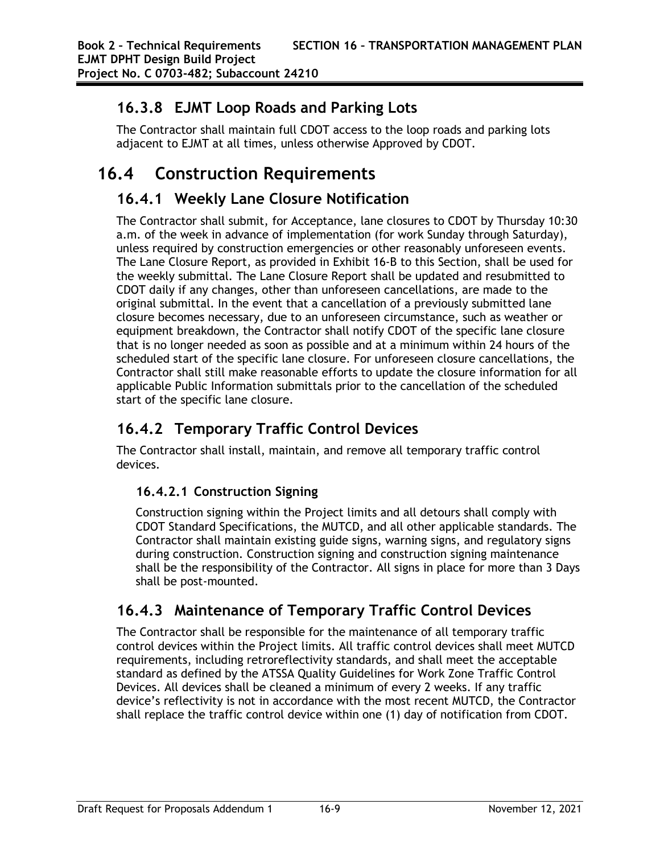### **16.3.8 EJMT Loop Roads and Parking Lots**

The Contractor shall maintain full CDOT access to the loop roads and parking lots adjacent to EJMT at all times, unless otherwise Approved by CDOT.

# **16.4 Construction Requirements**

### **16.4.1 Weekly Lane Closure Notification**

The Contractor shall submit, for Acceptance, lane closures to CDOT by Thursday 10:30 a.m. of the week in advance of implementation (for work Sunday through Saturday), unless required by construction emergencies or other reasonably unforeseen events. The Lane Closure Report, as provided in Exhibit 16-B to this Section, shall be used for the weekly submittal. The Lane Closure Report shall be updated and resubmitted to CDOT daily if any changes, other than unforeseen cancellations, are made to the original submittal. In the event that a cancellation of a previously submitted lane closure becomes necessary, due to an unforeseen circumstance, such as weather or equipment breakdown, the Contractor shall notify CDOT of the specific lane closure that is no longer needed as soon as possible and at a minimum within 24 hours of the scheduled start of the specific lane closure. For unforeseen closure cancellations, the Contractor shall still make reasonable efforts to update the closure information for all applicable Public Information submittals prior to the cancellation of the scheduled start of the specific lane closure.

## **16.4.2 Temporary Traffic Control Devices**

The Contractor shall install, maintain, and remove all temporary traffic control devices.

#### **16.4.2.1 Construction Signing**

Construction signing within the Project limits and all detours shall comply with CDOT Standard Specifications, the MUTCD, and all other applicable standards. The Contractor shall maintain existing guide signs, warning signs, and regulatory signs during construction. Construction signing and construction signing maintenance shall be the responsibility of the Contractor. All signs in place for more than 3 Days shall be post-mounted.

## **16.4.3 Maintenance of Temporary Traffic Control Devices**

The Contractor shall be responsible for the maintenance of all temporary traffic control devices within the Project limits. All traffic control devices shall meet MUTCD requirements, including retroreflectivity standards, and shall meet the acceptable standard as defined by the ATSSA Quality Guidelines for Work Zone Traffic Control Devices. All devices shall be cleaned a minimum of every 2 weeks. If any traffic device's reflectivity is not in accordance with the most recent MUTCD, the Contractor shall replace the traffic control device within one (1) day of notification from CDOT.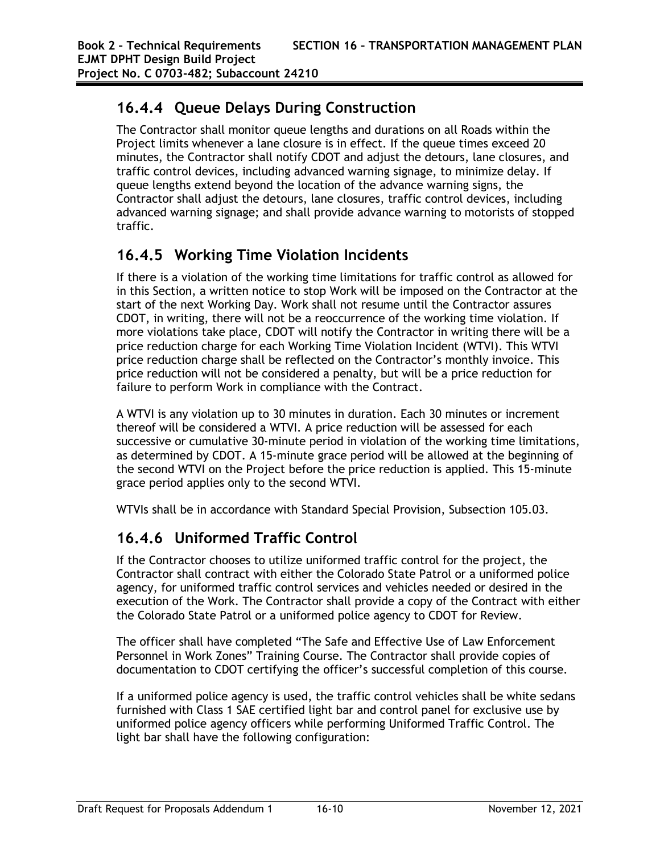### **16.4.4 Queue Delays During Construction**

The Contractor shall monitor queue lengths and durations on all Roads within the Project limits whenever a lane closure is in effect. If the queue times exceed 20 minutes, the Contractor shall notify CDOT and adjust the detours, lane closures, and traffic control devices, including advanced warning signage, to minimize delay. If queue lengths extend beyond the location of the advance warning signs, the Contractor shall adjust the detours, lane closures, traffic control devices, including advanced warning signage; and shall provide advance warning to motorists of stopped traffic.

#### **16.4.5 Working Time Violation Incidents**

If there is a violation of the working time limitations for traffic control as allowed for in this Section, a written notice to stop Work will be imposed on the Contractor at the start of the next Working Day. Work shall not resume until the Contractor assures CDOT, in writing, there will not be a reoccurrence of the working time violation. If more violations take place, CDOT will notify the Contractor in writing there will be a price reduction charge for each Working Time Violation Incident (WTVI). This WTVI price reduction charge shall be reflected on the Contractor's monthly invoice. This price reduction will not be considered a penalty, but will be a price reduction for failure to perform Work in compliance with the Contract.

A WTVI is any violation up to 30 minutes in duration. Each 30 minutes or increment thereof will be considered a WTVI. A price reduction will be assessed for each successive or cumulative 30-minute period in violation of the working time limitations, as determined by CDOT. A 15-minute grace period will be allowed at the beginning of the second WTVI on the Project before the price reduction is applied. This 15-minute grace period applies only to the second WTVI.

WTVIs shall be in accordance with Standard Special Provision, Subsection 105.03.

## **16.4.6 Uniformed Traffic Control**

If the Contractor chooses to utilize uniformed traffic control for the project, the Contractor shall contract with either the Colorado State Patrol or a uniformed police agency, for uniformed traffic control services and vehicles needed or desired in the execution of the Work. The Contractor shall provide a copy of the Contract with either the Colorado State Patrol or a uniformed police agency to CDOT for Review.

The officer shall have completed "The Safe and Effective Use of Law Enforcement Personnel in Work Zones" Training Course. The Contractor shall provide copies of documentation to CDOT certifying the officer's successful completion of this course.

If a uniformed police agency is used, the traffic control vehicles shall be white sedans furnished with Class 1 SAE certified light bar and control panel for exclusive use by uniformed police agency officers while performing Uniformed Traffic Control. The light bar shall have the following configuration: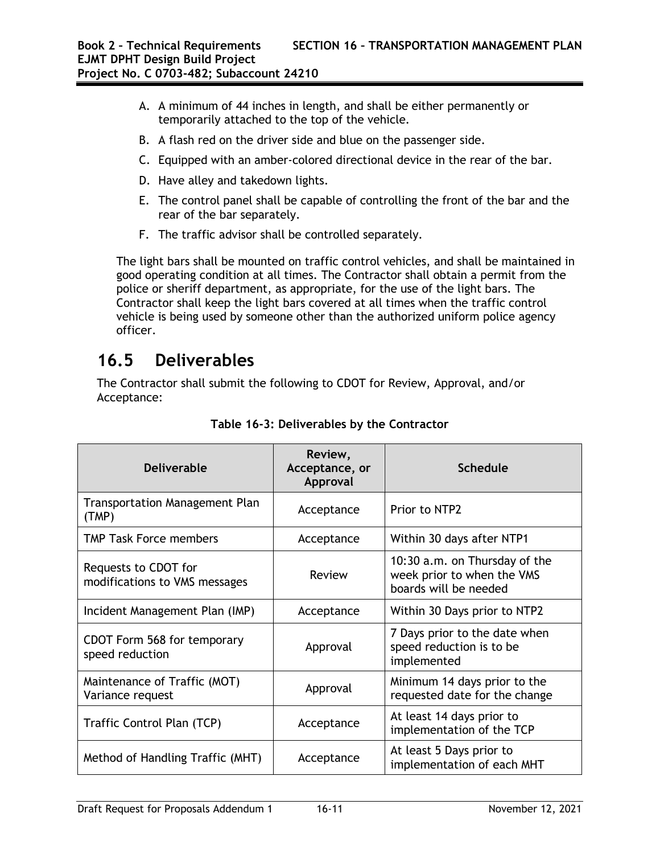- A. A minimum of 44 inches in length, and shall be either permanently or temporarily attached to the top of the vehicle.
- B. A flash red on the driver side and blue on the passenger side.
- C. Equipped with an amber-colored directional device in the rear of the bar.
- D. Have alley and takedown lights.
- E. The control panel shall be capable of controlling the front of the bar and the rear of the bar separately.
- F. The traffic advisor shall be controlled separately.

The light bars shall be mounted on traffic control vehicles, and shall be maintained in good operating condition at all times. The Contractor shall obtain a permit from the police or sheriff department, as appropriate, for the use of the light bars. The Contractor shall keep the light bars covered at all times when the traffic control vehicle is being used by someone other than the authorized uniform police agency officer.

# **16.5 Deliverables**

The Contractor shall submit the following to CDOT for Review, Approval, and/or Acceptance:

| <b>Deliverable</b>                                    | Review,<br>Acceptance, or<br>Approval | <b>Schedule</b>                                                                      |
|-------------------------------------------------------|---------------------------------------|--------------------------------------------------------------------------------------|
| <b>Transportation Management Plan</b><br>(TMP)        | Acceptance                            | Prior to NTP2                                                                        |
| <b>TMP Task Force members</b>                         | Acceptance                            | Within 30 days after NTP1                                                            |
| Requests to CDOT for<br>modifications to VMS messages | Review                                | 10:30 a.m. on Thursday of the<br>week prior to when the VMS<br>boards will be needed |
| Incident Management Plan (IMP)                        | Acceptance                            | Within 30 Days prior to NTP2                                                         |
| CDOT Form 568 for temporary<br>speed reduction        | Approval                              | 7 Days prior to the date when<br>speed reduction is to be<br>implemented             |
| Maintenance of Traffic (MOT)<br>Variance request      | Approval                              | Minimum 14 days prior to the<br>requested date for the change                        |
| Traffic Control Plan (TCP)                            | Acceptance                            | At least 14 days prior to<br>implementation of the TCP                               |
| Method of Handling Traffic (MHT)                      | Acceptance                            | At least 5 Days prior to<br>implementation of each MHT                               |

**Table 16-3: Deliverables by the Contractor**